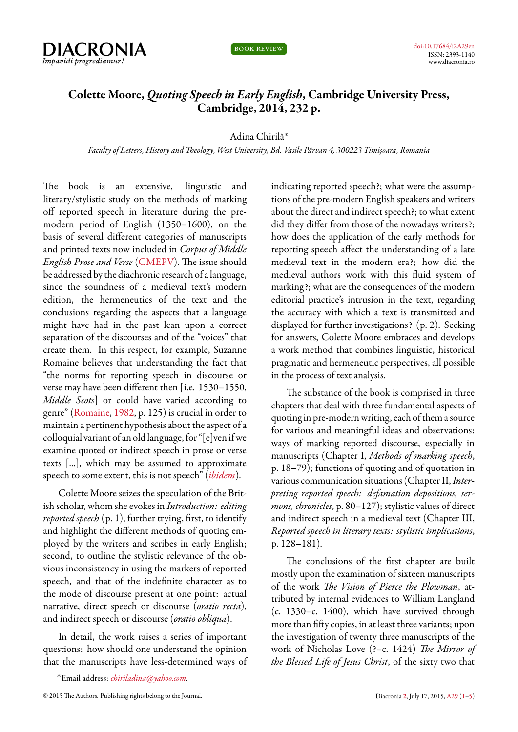



## **Colette Moore,** *Quoting Speech in Early English***, Cambridge Universit[y Press,](http://dx.doi.org/10.17684/i2A29en) Cambridge, 2014, 232 p.**

## Adina Chirilă˚

*Faculty of Letters, History and Theology, West University, Bd. Vasile Pârvan 4, 300223 Timișoara, Romania*

The book is an extensive, linguistic and literary/stylistic study on the methods of marking off reported speech in literature during the premodern period of English (1350–1600), on the basis of several different categories of manuscripts and printed texts now included in *Corpus of Middle English Prose and Verse* (CMEPV). The issue should be addressed by the diachronic research of a language, since the soundness of a medieval text's modern edition, the hermene[utics of t](http://quod.lib.umich.edu/c/cme/)he text and the conclusions regarding the aspects that a language might have had in the past lean upon a correct separation of the discourses and of the "voices" that create them. In this respect, for example, Suzanne Romaine believes that understanding the fact that "the norms for reporting speech in discourse or verse may have been different then [i.e. 1530–1550, *Middle Scots*] or could have varied according to genre" (Romaine, 1982, p. 125) is crucial in order to maintain a pertinent hypothesis about the aspect of a colloquial variant of an old language, for "[e]ven if we examin[e quoted or indi](#page-4-0)rect speech in prose or verse texts [...], which may be assumed to approximate speech to some extent, this is not speech" (*ibidem*).

Colette Moore seizes the speculation of the British scholar, whom she evokes in *Introduction: editing reported speech* (p. 1), further trying, first,t[o ident](#page-4-0)ify and highlight the different methods of quoting employed by the writers and scribes in early English; second, to outline the stylistic relevance of the obvious inconsistency in using the markers of reported speech, and that of the indefinite character as to the mode of discourse present at one point: actual narrative, direct speech or discourse (*oratio recta*), and indirect speech or discourse (*oratio obliqua*).

In detail, the work raises a series of important questions: how should one understand the opinion that the manuscripts have less-determined ways of indicating reported speech?; what were the assumptions of the pre-modern English speakers and writers about the direct and indirect speech?; to what extent did they differ from those of the nowadays writers?; how does the application of the early methods for reporting speech affect the understanding of a late medieval text in the modern era?; how did the medieval authors work with this fluid system of marking?; what are the consequences of the modern editorial practice's intrusion in the text, regarding the accuracy with which a text is transmitted and displayed for further investigations? (p. 2). Seeking for answers, Colette Moore embraces and develops a work method that combines linguistic, historical pragmatic and hermeneutic perspectives, all possible in the process of text analysis.

The substance of the book is comprised in three chapters that deal with three fundamental aspects of quoting in pre-modern writing, each of them a source for various and meaningful ideas and observations: ways of marking reported discourse, especially in manuscripts (Chapter I, *Methods of marking speech*, p. 18–79); functions of quoting and of quotation in various communication situations (Chapter II,*Interpreting reported speech: defamation depositions, sermons, chronicles*, p. 80–127); stylistic values of direct and indirect speech in a medieval text (Chapter III, *Reported speech in literary texts: stylistic implications*, p. 128–181).

The conclusions of the first chapter are built mostly upon the examination of sixteen manuscripts of the work *The Vision of Pierce the Plowman*, attributed by internal evidences to William Langland (c. 1330–c. 1400), which have survived through more than fifty copies, in at least three variants; upon the investigation of twenty three manuscripts of the work of Nicholas Love (?–c. 1424) *The Mirror of the Blessed Life of Jesus Christ*, of the sixty two that

<sup>˚</sup>Email address: *chiriladina@yahoo.com*.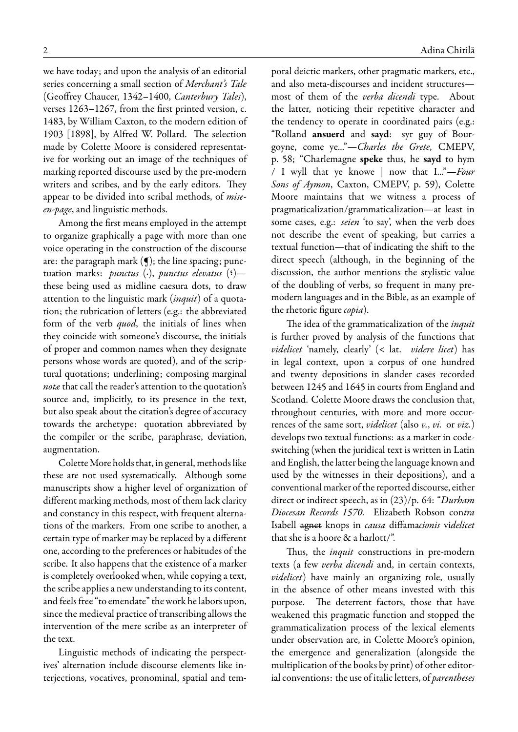we have today; and upon the analysis of an editorial series concerning a small section of *Merchant's Tale* (Geoffrey Chaucer, 1342–1400, *Canterbury Tales*), verses 1263–1267, from the first printed version, c. 1483, by William Caxton, to the modern edition of 1903 [1898], by Alfred W. Pollard. The selection made by Colette Moore is considered representative for working out an image of the techniques of marking reported discourse used by the pre-modern writers and scribes, and by the early editors. They appear to be divided into scribal methods, of *miseen-page*, and linguistic methods.

Among the first means employed in the attempt to organize graphically a page with more than one voice operating in the construction of the discourse are: the paragraph mark  $(g)$ ; the line spacing; punctuation marks: *punctus* (·), *punctus elevatus* (<sup>6</sup>)these being used as midline caesura dots, to draw attention to the linguistic mark (*inquit*) of a quotation; the rubrication of letters (e.g.: the abbreviated form of the verb *quod*, the initials of lines when they coincide with someone's discourse, the initials of proper and common names when they designate persons whose words are quoted), and of the scriptural quotations; underlining; composing marginal *notæ* that call the reader's attention to the quotation's source and, implicitly, to its presence in the text, but also speak about the citation's degree of accuracy towards the archetype: quotation abbreviated by the compiler or the scribe, paraphrase, deviation, augmentation.

Colette More holds that, in general, methods like these are not used systematically. Although some manuscripts show a higher level of organization of different marking methods, most of them lack clarity and constancy in this respect, with frequent alternations of the markers. From one scribe to another, a certain type of marker may be replaced by a different one, according to the preferences or habitudes of the scribe. It also happens that the existence of a marker is completely overlooked when, while copying a text, the scribe applies a new understanding to its content, and feels free "to emendate" the work he labors upon, since the medieval practice of transcribing allows the intervention of the mere scribe as an interpreter of the text.

Linguistic methods of indicating the perspectives' alternation include discourse elements like interjections, vocatives, pronominal, spatial and temporal deictic markers, other pragmatic markers, etc., and also meta-discourses and incident structures most of them of the *verba dicendi* type. About the latter, noticing their repetitive character and the tendency to operate in coordinated pairs (e.g.: "Rolland **ansuerd** and **sayd**: syr guy of Bourgoyne, come ye..."—*Charles the Grete*, CMEPV, p. 58; "Charlemagne **speke** thus, he **sayd** to hym / I wyll that ye knowe | now that I..."—*Four Sons of Aymon*, Caxton, CMEPV, p. 59), Colette Moore maintains that we witness a process of pragmaticalization/grammaticalization—at least in some cases, e.g.: *seien* 'to say', when the verb does not describe the event of speaking, but carries a textual function—that of indicating the shift to the direct speech (although, in the beginning of the discussion, the author mentions the stylistic value of the doubling of verbs, so frequent in many premodern languages and in the Bible, as an example of the rhetoric figure *copia*).

The idea of the grammaticalization of the *inquit* is further proved by analysis of the functions that *videlicet* 'namely, clearly' (< lat. *videre licet*) has in legal context, upon a corpus of one hundred and twenty depositions in slander cases recorded between 1245 and 1645 in courts from England and Scotland. Colette Moore draws the conclusion that, throughout centuries, with more and more occurrences of the same sort, *videlicet* (also *v.*, *vi.* or *viz.*) develops two textual functions: as a marker in codeswitching (when the juridical text is written in Latin and English, the latter being the language known and used by the witnesses in their depositions), and a conventional marker of the reported discourse, either direct or indirect speech, as in (23)/p. 64: "*Durham Diocesan Records 1570.* Elizabeth Robson con*tra* Isabell agnet knops in *causa* diffama*cionis* vi*delicet* that she is a hoore & a harlott/".

Thus, the *inquit* constructions in pre-modern texts (a few *verba dicendi* and, in certain contexts, *videlicet*) have mainly an organizing role, usually in the absence of other means invested with this purpose. The deterrent factors, those that have weakened this pragmatic function and stopped the grammaticalization process of the lexical elements under observation are, in Colette Moore's opinion, the emergence and generalization (alongside the multiplication of the books by print) of other editorial conventions: the use of italic letters, of *parentheses*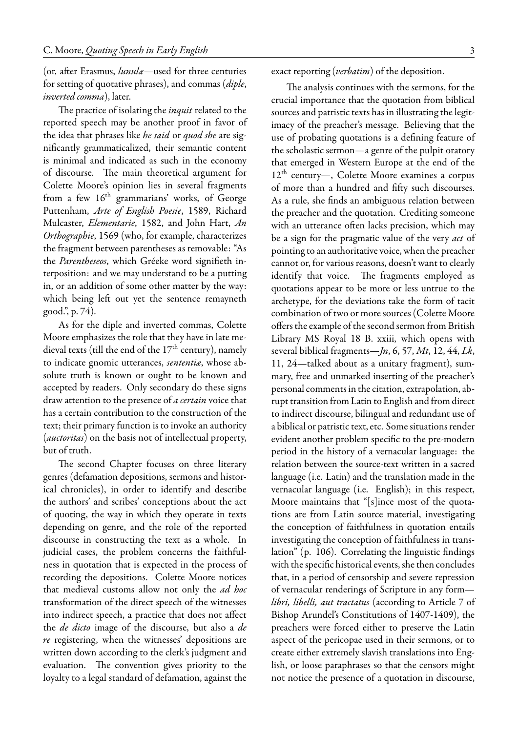(or, after Erasmus, *lunulæ*—used for three centuries for setting of quotative phrases), and commas (*diple*, *inverted comma*), later.

The practice of isolating the *inquit* related to the reported speech may be another proof in favor of the idea that phrases like *he said* or *quod she* are significantly grammaticalized, their semantic content is minimal and indicated as such in the economy of discourse. The main theoretical argument for Colette Moore's opinion lies in several fragments from a few 16<sup>th</sup> grammarians' works, of George Puttenham, *Arte of English Poesie*, 1589, Richard Mulcaster, *Elementarie*, 1582, and John Hart, *An Orthographie*, 1569 (who, for example, characterizes the fragment between parentheses as removable: "As the *Parentheseos*, which Gréeke word signifieth interposition: and we may understand to be a putting in, or an addition of some other matter by the way: which being left out yet the sentence remayneth good.", p. 74).

As for the diple and inverted commas, Colette Moore emphasizes the role that they have in late medieval texts (till the end of the  $17<sup>th</sup>$  century), namely to indicate gnomic utterances, *sententiæ*, whose absolute truth is known or ought to be known and accepted by readers. Only secondary do these signs draw attention to the presence of *a certain* voice that has a certain contribution to the construction of the text; their primary function is to invoke an authority (*auctoritas*) on the basis not of intellectual property, but of truth.

The second Chapter focuses on three literary genres (defamation depositions, sermons and historical chronicles), in order to identify and describe the authors' and scribes' conceptions about the act of quoting, the way in which they operate in texts depending on genre, and the role of the reported discourse in constructing the text as a whole. In judicial cases, the problem concerns the faithfulness in quotation that is expected in the process of recording the depositions. Colette Moore notices that medieval customs allow not only the *ad hoc* transformation of the direct speech of the witnesses into indirect speech, a practice that does not affect the *de dicto* image of the discourse, but also a *de re* registering, when the witnesses' depositions are written down according to the clerk's judgment and evaluation. The convention gives priority to the loyalty to a legal standard of defamation, against the

exact reporting (*verbatim*) of the deposition.

The analysis continues with the sermons, for the crucial importance that the quotation from biblical sources and patristic texts has in illustrating the legitimacy of the preacher's message. Believing that the use of probating quotations is a defining feature of the scholastic sermon—a genre of the pulpit oratory that emerged in Western Europe at the end of the 12th century—, Colette Moore examines a corpus of more than a hundred and fifty such discourses. As a rule, she finds an ambiguous relation between the preacher and the quotation. Crediting someone with an utterance often lacks precision, which may be a sign for the pragmatic value of the very *act* of pointing to an authoritative voice, when the preacher cannot or, for various reasons, doesn't want to clearly identify that voice. The fragments employed as quotations appear to be more or less untrue to the archetype, for the deviations take the form of tacit combination of two or more sources (Colette Moore offers the example of the second sermon from British Library MS Royal 18 B. xxiii, which opens with several biblical fragments—*Jn*, 6, 57, *Mt*, 12, 44, *Lk*, 11, 24—talked about as a unitary fragment), summary, free and unmarked inserting of the preacher's personal comments in the citation, extrapolation, abrupt transition from Latin to English and from direct to indirect discourse, bilingual and redundant use of a biblical or patristic text, etc. Some situations render evident another problem specific to the pre-modern period in the history of a vernacular language: the relation between the source-text written in a sacred language (i.e. Latin) and the translation made in the vernacular language (i.e. English); in this respect, Moore maintains that "[s]ince most of the quotations are from Latin source material, investigating the conception of faithfulness in quotation entails investigating the conception of faithfulness in translation" (p. 106). Correlating the linguistic findings with the specific historical events, she then concludes that, in a period of censorship and severe repression of vernacular renderings of Scripture in any form *libri, libelli, aut tractatus* (according to Article 7 of Bishop Arundel's Constitutions of 1407-1409), the preachers were forced either to preserve the Latin aspect of the pericopae used in their sermons, or to create either extremely slavish translations into English, or loose paraphrases so that the censors might not notice the presence of a quotation in discourse,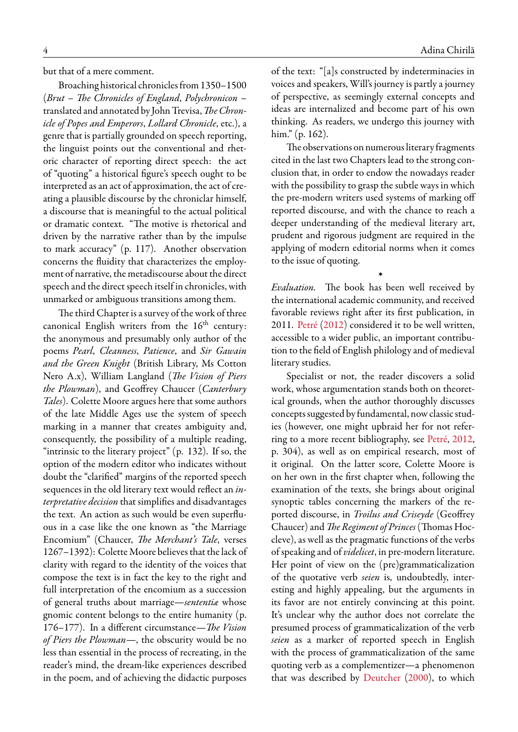but that of a mere comment.

Broaching historical chronicles from 1350–1500 (*Brut – The Chronicles of England*, *Polychronicon* – translated and annotated by John Trevisa,*The Chronicle of Popes and Emperors*, *Lollard Chronicle*, etc.), a genre that is partially grounded on speech reporting, the linguist points out the conventional and rhetoric character of reporting direct speech: the act of "quoting" a historical figure's speech ought to be interpreted as an act of approximation, the act of creating a plausible discourse by the chroniclar himself, a discourse that is meaningful to the actual political or dramatic context. "The motive is rhetorical and driven by the narrative rather than by the impulse to mark accuracy" (p. 117). Another observation concerns the fluidity that characterizes the employment of narrative, the metadiscourse about the direct speech and the direct speech itself in chronicles, with unmarked or ambiguous transitions among them.

The third Chapter is a survey of the work of three canonical English writers from the  $16<sup>th</sup>$  century: the anonymous and presumably only author of the poems *Pearl*, *Cleanness*, *Patience*, and *Sir Gawain and the Green Knight* (British Library, Ms Cotton Nero A.x), William Langland (*The Vision of Piers the Plowman*), and Geoffrey Chaucer (*Canterbury Tales*). Colette Moore argues here that some authors of the late Middle Ages use the system of speech marking in a manner that creates ambiguity and, consequently, the possibility of a multiple reading, "intrinsic to the literary project" (p. 132). If so, the option of the modern editor who indicates without doubt the "clarified" margins of the reported speech sequences in the old literary text would reflect an *interpretative decision* that simplifies and disadvantages the text. An action as such would be even superfluous in a case like the one known as "the Marriage Encomium" (Chaucer, *The Merchant's Tale*, verses 1267–1392): Colette Moore believes that the lack of clarity with regard to the identity of the voices that compose the text is in fact the key to the right and full interpretation of the encomium as a succession of general truths about marriage—*sententiæ* whose gnomic content belongs to the entire humanity (p. 176–177). In a different circumstance—*The Vision of Piers the Plowman*—, the obscurity would be no less than essential in the process of recreating, in the reader's mind, the dream-like experiences described in the poem, and of achieving the didactic purposes

of the text: "[a]s constructed by indeterminacies in voices and speakers, Will's journey is partly a journey of perspective, as seemingly external concepts and ideas are internalized and become part of his own thinking. As readers, we undergo this journey with him." (p. 162).

The observations on numerous literary fragments cited in the last two Chapters lead to the strong conclusion that, in order to endow the nowadays reader with the possibility to grasp the subtle ways in which the pre-modern writers used systems of marking off reported discourse, and with the chance to reach a deeper understanding of the medieval literary art, prudent and rigorous judgment are required in the applying of modern editorial norms when it comes to the issue of quoting.

*Evaluation.* The book has been well received by the international academic community, and received favorable reviews right after its first publication, in 2011. Petré (2012) considered it to be well written, accessible to a wider public, an important contribution to the field of English philology and of medieval literar[y stud](#page-4-1)ies.

›

Specialist [or n](#page-4-1)ot, the reader discovers a solid work, whose argumentation stands both on theoretical grounds, when the author thoroughly discusses concepts suggested byfundamental, now classic studies (however, one might upbraid her for not referring to a more recent bibliography, see Petré, 2012, p. 304), as well as on empirical research, most of it original. On the latter score, Colette Moore is on her own in the first chapter when,f[ollow](#page-4-1)i[ng the](#page-4-1) examination of the texts, she brings about original synoptic tables concerning the markers of the reported discourse, in *Troilus and Criseyde* (Geoffrey Chaucer) and*The Regiment of Princes*(Thomas Hoccleve), as well as the pragmatic functions of the verbs of speaking and of *videlicet*, in pre-modern literature. Her point of view on the (pre)grammaticalization of the quotative verb *seien* is, undoubtedly, interesting and highly appealing, but the arguments in its favor are not entirely convincing at this point. It's unclear why the author does not correlate the presumed process of grammaticalization of the verb *seien* as a marker of reported speech in English with the process of grammaticalization of the same quoting verb as a complementizer—a phenomenon that was described by Deutcher (2000), to which